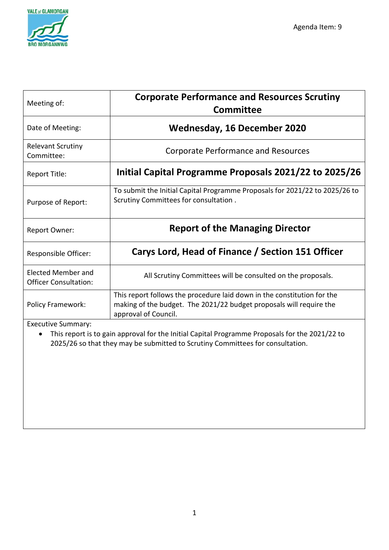

| Meeting of:                                        | <b>Corporate Performance and Resources Scrutiny</b><br>Committee                                                                                                       |  |  |  |  |  |  |
|----------------------------------------------------|------------------------------------------------------------------------------------------------------------------------------------------------------------------------|--|--|--|--|--|--|
| Date of Meeting:                                   | Wednesday, 16 December 2020                                                                                                                                            |  |  |  |  |  |  |
| <b>Relevant Scrutiny</b><br>Committee:             | <b>Corporate Performance and Resources</b>                                                                                                                             |  |  |  |  |  |  |
| Report Title:                                      | Initial Capital Programme Proposals 2021/22 to 2025/26                                                                                                                 |  |  |  |  |  |  |
| Purpose of Report:                                 | To submit the Initial Capital Programme Proposals for 2021/22 to 2025/26 to<br>Scrutiny Committees for consultation.                                                   |  |  |  |  |  |  |
| <b>Report Owner:</b>                               | <b>Report of the Managing Director</b>                                                                                                                                 |  |  |  |  |  |  |
| Responsible Officer:                               | Carys Lord, Head of Finance / Section 151 Officer                                                                                                                      |  |  |  |  |  |  |
| Elected Member and<br><b>Officer Consultation:</b> | All Scrutiny Committees will be consulted on the proposals.                                                                                                            |  |  |  |  |  |  |
| Policy Framework:                                  | This report follows the procedure laid down in the constitution for the<br>making of the budget. The 2021/22 budget proposals will require the<br>approval of Council. |  |  |  |  |  |  |
| <b>Executive Summary:</b>                          |                                                                                                                                                                        |  |  |  |  |  |  |

• This report is to gain approval for the Initial Capital Programme Proposals for the 2021/22 to 2025/26 so that they may be submitted to Scrutiny Committees for consultation.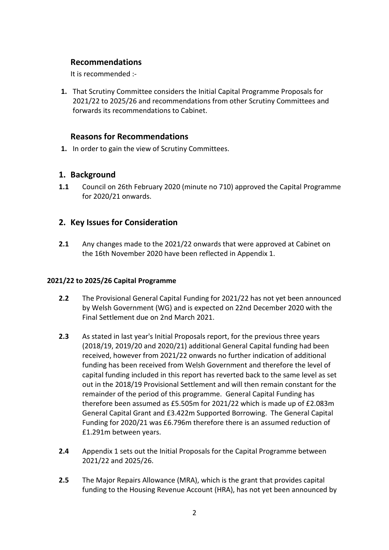### **Recommendations**

It is recommended :-

**1.** That Scrutiny Committee considers the Initial Capital Programme Proposals for 2021/22 to 2025/26 and recommendations from other Scrutiny Committees and forwards its recommendations to Cabinet.

# **Reasons for Recommendations**

**1.** In order to gain the view of Scrutiny Committees.

# **1. Background**

**1.1** Council on 26th February 2020 (minute no 710) approved the Capital Programme for 2020/21 onwards.

# **2. Key Issues for Consideration**

**2.1** Any changes made to the 2021/22 onwards that were approved at Cabinet on the 16th November 2020 have been reflected in Appendix 1.

#### **2021/22 to 2025/26 Capital Programme**

- **2.2** The Provisional General Capital Funding for 2021/22 has not yet been announced by Welsh Government (WG) and is expected on 22nd December 2020 with the Final Settlement due on 2nd March 2021.
- **2.3** As stated in last year's Initial Proposals report, for the previous three years (2018/19, 2019/20 and 2020/21) additional General Capital funding had been received, however from 2021/22 onwards no further indication of additional funding has been received from Welsh Government and therefore the level of capital funding included in this report has reverted back to the same level as set out in the 2018/19 Provisional Settlement and will then remain constant for the remainder of the period of this programme. General Capital Funding has therefore been assumed as £5.505m for 2021/22 which is made up of £2.083m General Capital Grant and £3.422m Supported Borrowing. The General Capital Funding for 2020/21 was £6.796m therefore there is an assumed reduction of £1.291m between years.
- **2.4** Appendix 1 sets out the Initial Proposals for the Capital Programme between 2021/22 and 2025/26.
- **2.5** The Major Repairs Allowance (MRA), which is the grant that provides capital funding to the Housing Revenue Account (HRA), has not yet been announced by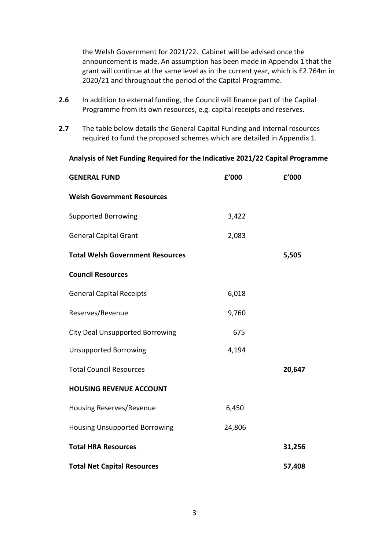the Welsh Government for 2021/22. Cabinet will be advised once the announcement is made. An assumption has been made in Appendix 1 that the grant will continue at the same level as in the current year, which is £2.764m in 2020/21 and throughout the period of the Capital Programme.

- **2.6** In addition to external funding, the Council will finance part of the Capital Programme from its own resources, e.g. capital receipts and reserves.
- **2.7** The table below details the General Capital Funding and internal resources required to fund the proposed schemes which are detailed in Appendix 1.

**Analysis of Net Funding Required for the Indicative 2021/22 Capital Programme**

| <b>GENERAL FUND</b>                     | £'000  | f'000  |
|-----------------------------------------|--------|--------|
| <b>Welsh Government Resources</b>       |        |        |
| <b>Supported Borrowing</b>              | 3,422  |        |
| <b>General Capital Grant</b>            | 2,083  |        |
| <b>Total Welsh Government Resources</b> |        | 5,505  |
| <b>Council Resources</b>                |        |        |
| <b>General Capital Receipts</b>         | 6,018  |        |
| Reserves/Revenue                        | 9,760  |        |
| <b>City Deal Unsupported Borrowing</b>  | 675    |        |
| <b>Unsupported Borrowing</b>            | 4,194  |        |
| <b>Total Council Resources</b>          |        | 20,647 |
| <b>HOUSING REVENUE ACCOUNT</b>          |        |        |
| Housing Reserves/Revenue                | 6,450  |        |
| <b>Housing Unsupported Borrowing</b>    | 24,806 |        |
| <b>Total HRA Resources</b>              |        | 31,256 |
| <b>Total Net Capital Resources</b>      |        | 57,408 |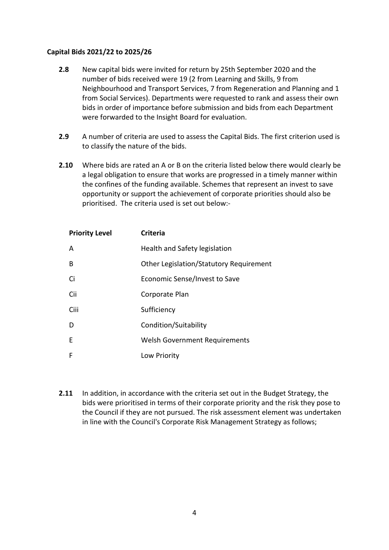#### **Capital Bids 2021/22 to 2025/26**

- **2.8** New capital bids were invited for return by 25th September 2020 and the number of bids received were 19 (2 from Learning and Skills, 9 from Neighbourhood and Transport Services, 7 from Regeneration and Planning and 1 from Social Services). Departments were requested to rank and assess their own bids in order of importance before submission and bids from each Department were forwarded to the Insight Board for evaluation.
- **2.9** A number of criteria are used to assess the Capital Bids. The first criterion used is to classify the nature of the bids.
- **2.10** Where bids are rated an A or B on the criteria listed below there would clearly be a legal obligation to ensure that works are progressed in a timely manner within the confines of the funding available. Schemes that represent an invest to save opportunity or support the achievement of corporate priorities should also be prioritised. The criteria used is set out below:-

| <b>Priority Level</b> | <b>Criteria</b>                         |
|-----------------------|-----------------------------------------|
| A                     | Health and Safety legislation           |
| B                     | Other Legislation/Statutory Requirement |
| Ci                    | Economic Sense/Invest to Save           |
| Cii                   | Corporate Plan                          |
| Ciii                  | Sufficiency                             |
| D                     | Condition/Suitability                   |
| F                     | <b>Welsh Government Requirements</b>    |
| F                     | Low Priority                            |

**2.11** In addition, in accordance with the criteria set out in the Budget Strategy, the bids were prioritised in terms of their corporate priority and the risk they pose to the Council if they are not pursued. The risk assessment element was undertaken in line with the Council's Corporate Risk Management Strategy as follows;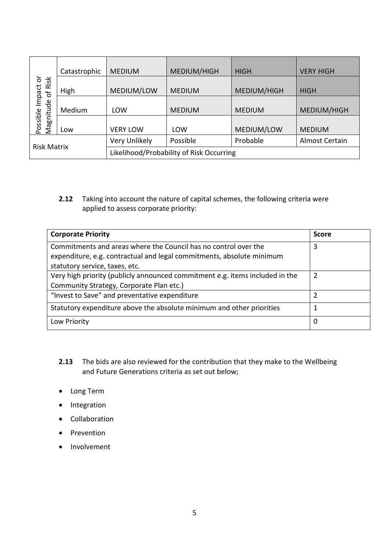|                                 | Catastrophic | <b>MEDIUM</b>                            | MEDIUM/HIGH   | <b>HIGH</b>   | <b>VERY HIGH</b> |
|---------------------------------|--------------|------------------------------------------|---------------|---------------|------------------|
| Possible Impact or<br>Risk<br>Ⴆ | High         | MEDIUM/LOW                               | <b>MEDIUM</b> | MEDIUM/HIGH   | <b>HIGH</b>      |
|                                 | Medium       | LOW                                      | <b>MEDIUM</b> | <b>MEDIUM</b> | MEDIUM/HIGH      |
| Magnitude                       | Low          | <b>VERY LOW</b>                          | LOW           | MEDIUM/LOW    | <b>MEDIUM</b>    |
| <b>Risk Matrix</b>              |              | Very Unlikely                            | Possible      | Probable      | Almost Certain   |
|                                 |              | Likelihood/Probability of Risk Occurring |               |               |                  |

**2.12** Taking into account the nature of capital schemes, the following criteria were applied to assess corporate priority:

| <b>Corporate Priority</b>                                                    | <b>Score</b>   |
|------------------------------------------------------------------------------|----------------|
| Commitments and areas where the Council has no control over the              | 3              |
| expenditure, e.g. contractual and legal commitments, absolute minimum        |                |
| statutory service, taxes, etc.                                               |                |
| Very high priority (publicly announced commitment e.g. items included in the | $\overline{2}$ |
| Community Strategy, Corporate Plan etc.)                                     |                |
| "Invest to Save" and preventative expenditure                                | 2              |
| Statutory expenditure above the absolute minimum and other priorities        |                |
| Low Priority                                                                 | 0              |

- **2.13** The bids are also reviewed for the contribution that they make to the Wellbeing and Future Generations criteria as set out below;
- Long Term
- Integration
- Collaboration
- Prevention
- Involvement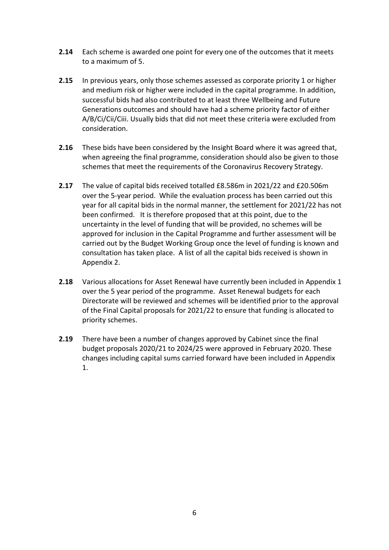- **2.14** Each scheme is awarded one point for every one of the outcomes that it meets to a maximum of 5.
- **2.15** In previous years, only those schemes assessed as corporate priority 1 or higher and medium risk or higher were included in the capital programme. In addition, successful bids had also contributed to at least three Wellbeing and Future Generations outcomes and should have had a scheme priority factor of either A/B/Ci/Cii/Ciii. Usually bids that did not meet these criteria were excluded from consideration.
- **2.16** These bids have been considered by the Insight Board where it was agreed that, when agreeing the final programme, consideration should also be given to those schemes that meet the requirements of the Coronavirus Recovery Strategy.
- **2.17** The value of capital bids received totalled £8.586m in 2021/22 and £20.506m over the 5-year period. While the evaluation process has been carried out this year for all capital bids in the normal manner, the settlement for 2021/22 has not been confirmed. It is therefore proposed that at this point, due to the uncertainty in the level of funding that will be provided, no schemes will be approved for inclusion in the Capital Programme and further assessment will be carried out by the Budget Working Group once the level of funding is known and consultation has taken place. A list of all the capital bids received is shown in Appendix 2.
- **2.18** Various allocations for Asset Renewal have currently been included in Appendix 1 over the 5 year period of the programme. Asset Renewal budgets for each Directorate will be reviewed and schemes will be identified prior to the approval of the Final Capital proposals for 2021/22 to ensure that funding is allocated to priority schemes.
- **2.19** There have been a number of changes approved by Cabinet since the final budget proposals 2020/21 to 2024/25 were approved in February 2020. These changes including capital sums carried forward have been included in Appendix 1.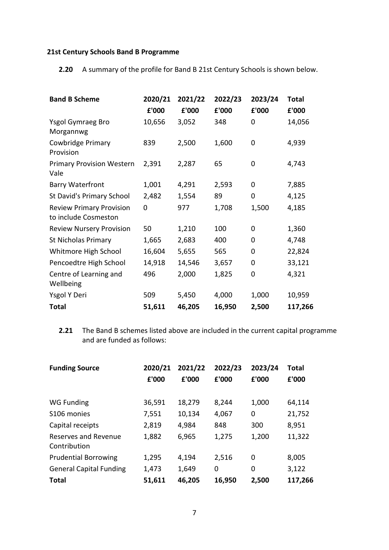#### **21st Century Schools Band B Programme**

**2.20** A summary of the profile for Band B 21st Century Schools is shown below.

| <b>Band B Scheme</b>                                    | 2020/21 | 2021/22 | 2022/23 | 2023/24 | <b>Total</b> |  |
|---------------------------------------------------------|---------|---------|---------|---------|--------------|--|
|                                                         | £'000   | £'000   | £'000   | £'000   | £'000        |  |
| Ysgol Gymraeg Bro<br>Morgannwg                          | 10,656  | 3,052   | 348     | 0       | 14,056       |  |
| Cowbridge Primary<br>Provision                          | 839     | 2,500   | 1,600   | 0       | 4,939        |  |
| <b>Primary Provision Western</b><br>Vale                | 2,391   | 2,287   | 65      | 0       | 4,743        |  |
| <b>Barry Waterfront</b>                                 | 1,001   | 4,291   | 2,593   | 0       | 7,885        |  |
| St David's Primary School                               | 2,482   | 1,554   | 89      | 0       | 4,125        |  |
| <b>Review Primary Provision</b><br>to include Cosmeston | 0       | 977     | 1,708   | 1,500   | 4,185        |  |
| <b>Review Nursery Provision</b>                         | 50      | 1,210   | 100     | 0       | 1,360        |  |
| <b>St Nicholas Primary</b>                              | 1,665   | 2,683   | 400     | 0       | 4,748        |  |
| Whitmore High School                                    | 16,604  | 5,655   | 565     | 0       | 22,824       |  |
| Pencoedtre High School                                  | 14,918  | 14,546  | 3,657   | 0       | 33,121       |  |
| Centre of Learning and<br>Wellbeing                     | 496     | 2,000   | 1,825   | 0       | 4,321        |  |
| Ysgol Y Deri                                            | 509     | 5,450   | 4,000   | 1,000   | 10,959       |  |
| <b>Total</b>                                            | 51,611  | 46,205  | 16,950  | 2,500   | 117,266      |  |

**2.21** The Band B schemes listed above are included in the current capital programme and are funded as follows:

| <b>Funding Source</b>                | 2020/21<br>£'000 | 2021/22<br>£'000 | 2022/23<br>£'000 | 2023/24<br>£'000 | <b>Total</b><br>£'000 |
|--------------------------------------|------------------|------------------|------------------|------------------|-----------------------|
| WG Funding                           | 36,591           | 18,279           | 8,244            | 1,000            | 64,114                |
| S106 monies                          | 7,551            | 10,134           | 4,067            | 0                | 21,752                |
| Capital receipts                     | 2,819            | 4,984            | 848              | 300              | 8,951                 |
| Reserves and Revenue<br>Contribution | 1,882            | 6,965            | 1,275            | 1,200            | 11,322                |
| <b>Prudential Borrowing</b>          | 1,295            | 4,194            | 2,516            | 0                | 8,005                 |
| <b>General Capital Funding</b>       | 1,473            | 1,649            | 0                | 0                | 3,122                 |
| <b>Total</b>                         | 51,611           | 46,205           | 16,950           | 2,500            | 117,266               |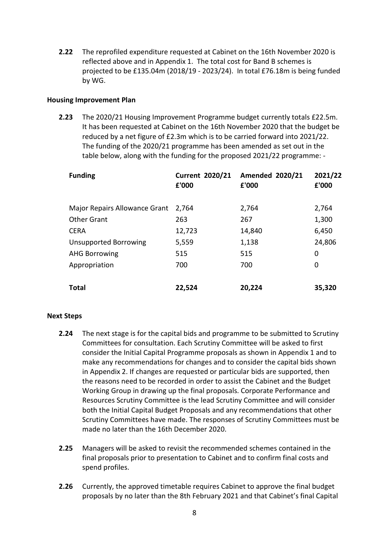**2.22** The reprofiled expenditure requested at Cabinet on the 16th November 2020 is reflected above and in Appendix 1. The total cost for Band B schemes is projected to be £135.04m (2018/19 - 2023/24). In total £76.18m is being funded by WG.

#### **Housing Improvement Plan**

**2.23** The 2020/21 Housing Improvement Programme budget currently totals £22.5m. It has been requested at Cabinet on the 16th November 2020 that the budget be reduced by a net figure of £2.3m which is to be carried forward into 2021/22. The funding of the 2020/21 programme has been amended as set out in the table below, along with the funding for the proposed 2021/22 programme: -

| <b>Funding</b>                       | <b>Current 2020/21</b><br>£'000 | <b>Amended 2020/21</b><br>£'000 | 2021/22<br>£'000 |
|--------------------------------------|---------------------------------|---------------------------------|------------------|
| <b>Major Repairs Allowance Grant</b> | 2,764                           | 2,764                           | 2,764            |
| <b>Other Grant</b>                   | 263                             | 267                             | 1,300            |
| <b>CERA</b>                          | 12,723                          | 14,840                          | 6,450            |
| <b>Unsupported Borrowing</b>         | 5,559                           | 1,138                           | 24,806           |
| <b>AHG Borrowing</b>                 | 515                             | 515                             | 0                |
| Appropriation                        | 700                             | 700                             | 0                |
|                                      |                                 |                                 |                  |
| <b>Total</b>                         | 22,524                          | 20,224                          | 35,320           |

#### **Next Steps**

- **2.24** The next stage is for the capital bids and programme to be submitted to Scrutiny Committees for consultation. Each Scrutiny Committee will be asked to first consider the Initial Capital Programme proposals as shown in Appendix 1 and to make any recommendations for changes and to consider the capital bids shown in Appendix 2. If changes are requested or particular bids are supported, then the reasons need to be recorded in order to assist the Cabinet and the Budget Working Group in drawing up the final proposals. Corporate Performance and Resources Scrutiny Committee is the lead Scrutiny Committee and will consider both the Initial Capital Budget Proposals and any recommendations that other Scrutiny Committees have made. The responses of Scrutiny Committees must be made no later than the 16th December 2020.
- **2.25** Managers will be asked to revisit the recommended schemes contained in the final proposals prior to presentation to Cabinet and to confirm final costs and spend profiles.
- **2.26** Currently, the approved timetable requires Cabinet to approve the final budget proposals by no later than the 8th February 2021 and that Cabinet's final Capital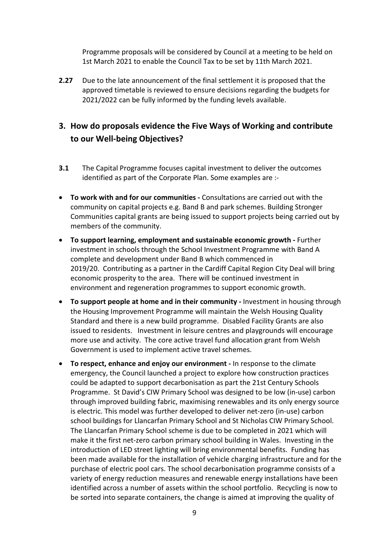Programme proposals will be considered by Council at a meeting to be held on 1st March 2021 to enable the Council Tax to be set by 11th March 2021.

**2.27** Due to the late announcement of the final settlement it is proposed that the approved timetable is reviewed to ensure decisions regarding the budgets for 2021/2022 can be fully informed by the funding levels available.

# **3. How do proposals evidence the Five Ways of Working and contribute to our Well-being Objectives?**

- **3.1** The Capital Programme focuses capital investment to deliver the outcomes identified as part of the Corporate Plan. Some examples are :-
- **To work with and for our communities -** Consultations are carried out with the community on capital projects e.g. Band B and park schemes. Building Stronger Communities capital grants are being issued to support projects being carried out by members of the community.
- **To support learning, employment and sustainable economic growth -** Further investment in schools through the School Investment Programme with Band A complete and development under Band B which commenced in 2019/20. Contributing as a partner in the Cardiff Capital Region City Deal will bring economic prosperity to the area. There will be continued investment in environment and regeneration programmes to support economic growth.
- **To support people at home and in their community -** Investment in housing through the Housing Improvement Programme will maintain the Welsh Housing Quality Standard and there is a new build programme. Disabled Facility Grants are also issued to residents. Investment in leisure centres and playgrounds will encourage more use and activity. The core active travel fund allocation grant from Welsh Government is used to implement active travel schemes.
- **To respect, enhance and enjoy our environment -** In response to the climate emergency, the Council launched a project to explore how construction practices could be adapted to support decarbonisation as part the 21st Century Schools Programme. St David's CIW Primary School was designed to be low (in-use) carbon through improved building fabric, maximising renewables and its only energy source is electric. This model was further developed to deliver net-zero (in-use) carbon school buildings for Llancarfan Primary School and St Nicholas CIW Primary School. The Llancarfan Primary School scheme is due to be completed in 2021 which will make it the first net-zero carbon primary school building in Wales. Investing in the introduction of LED street lighting will bring environmental benefits. Funding has been made available for the installation of vehicle charging infrastructure and for the purchase of electric pool cars. The school decarbonisation programme consists of a variety of energy reduction measures and renewable energy installations have been identified across a number of assets within the school portfolio. Recycling is now to be sorted into separate containers, the change is aimed at improving the quality of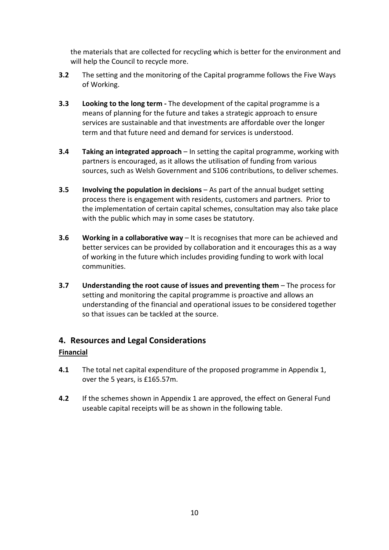the materials that are collected for recycling which is better for the environment and will help the Council to recycle more.

- **3.2** The setting and the monitoring of the Capital programme follows the Five Ways of Working.
- **3.3 Looking to the long term -** The development of the capital programme is a means of planning for the future and takes a strategic approach to ensure services are sustainable and that investments are affordable over the longer term and that future need and demand for services is understood.
- **3.4 Taking an integrated approach** In setting the capital programme, working with partners is encouraged, as it allows the utilisation of funding from various sources, such as Welsh Government and S106 contributions, to deliver schemes.
- **3.5 Involving the population in decisions** As part of the annual budget setting process there is engagement with residents, customers and partners. Prior to the implementation of certain capital schemes, consultation may also take place with the public which may in some cases be statutory.
- **3.6 Working in a collaborative way** It is recognises that more can be achieved and better services can be provided by collaboration and it encourages this as a way of working in the future which includes providing funding to work with local communities.
- **3.7 Understanding the root cause of issues and preventing them** The process for setting and monitoring the capital programme is proactive and allows an understanding of the financial and operational issues to be considered together so that issues can be tackled at the source.

### **4. Resources and Legal Considerations**

#### **Financial**

- **4.1** The total net capital expenditure of the proposed programme in Appendix 1, over the 5 years, is £165.57m.
- **4.2** If the schemes shown in Appendix 1 are approved, the effect on General Fund useable capital receipts will be as shown in the following table.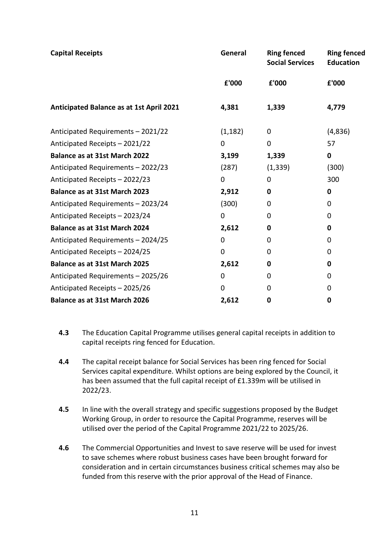| <b>Capital Receipts</b>                  | General     | <b>Ring fenced</b><br><b>Social Services</b> | <b>Ring fenced</b><br><b>Education</b> |
|------------------------------------------|-------------|----------------------------------------------|----------------------------------------|
|                                          | £'000       | £'000                                        | £'000                                  |
| Anticipated Balance as at 1st April 2021 | 4,381       | 1,339                                        | 4,779                                  |
| Anticipated Requirements - 2021/22       | (1, 182)    | 0                                            | (4,836)                                |
| Anticipated Receipts - 2021/22           | 0           | 0                                            | 57                                     |
| <b>Balance as at 31st March 2022</b>     | 3,199       | 1,339                                        | 0                                      |
| Anticipated Requirements - 2022/23       | (287)       | (1, 339)                                     | (300)                                  |
| Anticipated Receipts - 2022/23           | 0           | 0                                            | 300                                    |
| <b>Balance as at 31st March 2023</b>     | 2,912       | 0                                            | 0                                      |
| Anticipated Requirements - 2023/24       | (300)       | $\Omega$                                     | 0                                      |
| Anticipated Receipts - 2023/24           | $\mathbf 0$ | 0                                            | 0                                      |
| Balance as at 31st March 2024            | 2,612       | 0                                            | 0                                      |
| Anticipated Requirements - 2024/25       | 0           | 0                                            | 0                                      |
| Anticipated Receipts - 2024/25           | $\Omega$    | $\Omega$                                     | $\Omega$                               |
| <b>Balance as at 31st March 2025</b>     | 2,612       | 0                                            | 0                                      |
| Anticipated Requirements - 2025/26       | 0           | 0                                            | $\Omega$                               |
| Anticipated Receipts - 2025/26           | 0           | 0                                            | 0                                      |
| <b>Balance as at 31st March 2026</b>     | 2,612       | 0                                            | 0                                      |

- **4.3** The Education Capital Programme utilises general capital receipts in addition to capital receipts ring fenced for Education.
- **4.4** The capital receipt balance for Social Services has been ring fenced for Social Services capital expenditure. Whilst options are being explored by the Council, it has been assumed that the full capital receipt of £1.339m will be utilised in 2022/23.
- **4.5** In line with the overall strategy and specific suggestions proposed by the Budget Working Group, in order to resource the Capital Programme, reserves will be utilised over the period of the Capital Programme 2021/22 to 2025/26.
- **4.6** The Commercial Opportunities and Invest to save reserve will be used for invest to save schemes where robust business cases have been brought forward for consideration and in certain circumstances business critical schemes may also be funded from this reserve with the prior approval of the Head of Finance.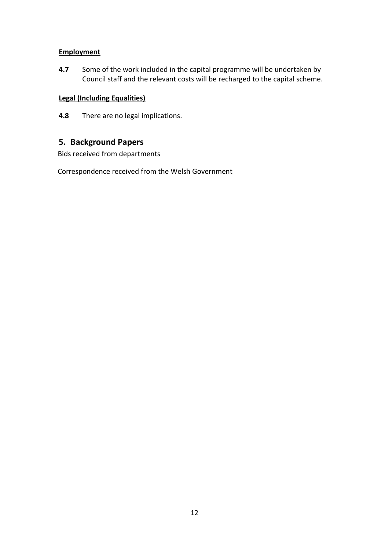#### **Employment**

**4.7** Some of the work included in the capital programme will be undertaken by Council staff and the relevant costs will be recharged to the capital scheme.

### **Legal (Including Equalities)**

**4.8** There are no legal implications.

# **5. Background Papers**

Bids received from departments

Correspondence received from the Welsh Government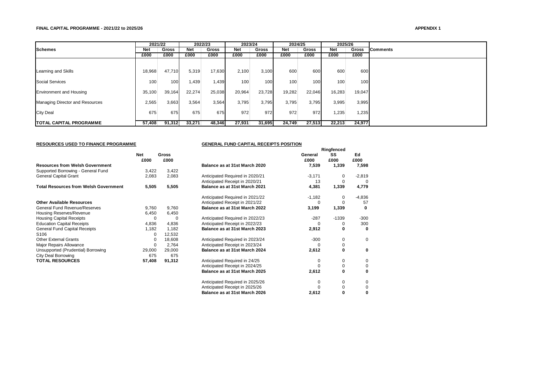#### **FINAL CAPITAL PROGRAMME - 2021/22 to 2025/26**

#### **APPENDIX 1**

|                                 | 2021/22    |        | 2022/23    |        | 2023/24 |        | 2024/25    |        | 2025/26    |              |                 |
|---------------------------------|------------|--------|------------|--------|---------|--------|------------|--------|------------|--------------|-----------------|
| <b>Schemes</b>                  | <b>Net</b> | Gross  | <b>Net</b> | Gross  | Net     | Gross  | <b>Net</b> | Gross  | <b>Net</b> | <b>Gross</b> | <b>Comments</b> |
|                                 | £000       | £000   | £000       | £000   | £000    | £000   | £000       | £000   | £000       | £000         |                 |
|                                 |            |        |            |        |         |        |            |        |            |              |                 |
| Learning and Skills             | 18,968     | 47,710 | 5,319      | 17,630 | 2,100   | 3,100  | 600        | 600    | 600        | 600          |                 |
| <b>Social Services</b>          | 100        | 100    | 1,439      | 1,439  | 100     | 100    | 100        | 100    | 100        | 100          |                 |
| <b>Environment and Housing</b>  | 35,100     | 39,164 | 22,274     | 25,038 | 20,964  | 23,728 | 19,282     | 22,046 | 16,283     | 19.047       |                 |
| Managing Director and Resources | 2,565      | 3,663  | 3,564      | 3,564  | 3,795   | 3,795  | 3,795      | 3,795  | 3,995      | 3,995        |                 |
| <b>City Deal</b>                | 675        | 675    | 675        | 675    | 972     | 972    | 972        | 972    | 1,235      | 1,235        |                 |
| <b>ITOTAL CAPITAL PROGRAMME</b> | 57,408     | 91,312 | 33,271     | 48,346 | 27,931  | 31,695 | 24,749     | 27,513 | 22,213     | 24,977       |                 |

**RESOURCES USED TO FINANCE PROGRAMME**

#### **GENERAL FUND CAPITAL RECEIPTS POSITION**

**Ringfenced**

|                                              | Net<br>£000 | <b>Gross</b><br>£000 |                                 | General<br>£000 | SS<br>£000 | Ed<br>£000 |
|----------------------------------------------|-------------|----------------------|---------------------------------|-----------------|------------|------------|
| <b>Resources from Welsh Government</b>       |             |                      | Balance as at 31st March 2020   | 7,539           | 1,339      | 7,598      |
| Supported Borrowing - General Fund           | 3,422       | 3,422                |                                 |                 |            |            |
| General Capital Grant                        | 2,083       | 2,083                | Anticipated Required in 2020/21 | $-3,171$        | 0          | $-2,819$   |
|                                              |             |                      | Anticipated Receipt in 2020/21  | 13              | 0          | $\Omega$   |
| <b>Total Resources from Welsh Government</b> | 5,505       | 5,505                | Balance as at 31st March 2021   | 4,381           | 1,339      | 4,779      |
|                                              |             |                      | Anticipated Required in 2021/22 | $-1,182$        | 0          | $-4,836$   |
| <b>Other Available Resources</b>             |             |                      | Anticipated Receipt in 2021/22  | $\Omega$        | $\Omega$   | 57         |
| General Fund Revenue/Reserves                | 9,760       | 9,760                | Balance as at 31st March 2022   | 3,199           | 1,339      | 0          |
| Housing Reserves/Revenue                     | 6,450       | 6,450                |                                 |                 |            |            |
| <b>Housing Capital Receipts</b>              | 0           | $\Omega$             | Anticipated Required in 2022/23 | $-287$          | $-1339$    | $-300$     |
| <b>Education Capital Receipts</b>            | 4,836       | 4,836                | Anticipated Receipt in 2022/23  | O               | 0          | 300        |
| General Fund Capital Receipts                | 1,182       | 1,182                | Balance as at 31st March 2023   | 2,912           | 0          | 0          |
| S <sub>106</sub>                             | 0           | 12,532               |                                 |                 |            |            |
| <b>Other External Grants</b>                 | 0           | 18,608               | Anticipated Required in 2023/24 | $-300$          | 0          | 0          |
| Major Repairs Allowance                      | 0           | 2,764                | Anticipated Receipt in 2023/24  | O               | 0          |            |
| Unsupported (Prudential) Borrowing           | 29,000      | 29,000               | Balance as at 31st March 2024   | 2,612           | 0          | 0          |
| City Deal Borrowing                          | 675         | 675                  |                                 |                 |            |            |
| <b>TOTAL RESOURCES</b>                       | 57,408      | 91,312               | Anticipated Required in 24/25   | 0               | 0          | 0          |
|                                              |             |                      | Anticipated Receipt in 2024/25  |                 | 0          | 0          |
|                                              |             |                      | Balance as at 31st March 2025   | 2,612           | O          | O          |
|                                              |             |                      | Anticipated Required in 2025/26 | 0               | 0          | 0          |
|                                              |             |                      | Anticipated Receipt in 2025/26  |                 | 0          |            |
|                                              |             |                      | Balance as at 31st March 2026   | 2,612           | 0          |            |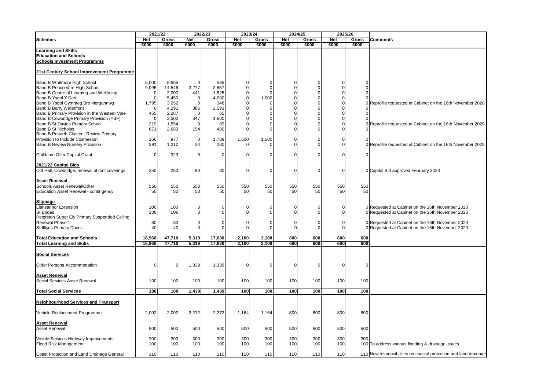|                                                                                                                                                                                                                                                                                                    | 2021/22                                                                           |                                                                       | 2022/23                                                                          |                                                               | 2023/24                                                                                                    |                           | 2024/25                                                                                              |                                             | 2025/26                                                                                        |                           |                                                                                                      |
|----------------------------------------------------------------------------------------------------------------------------------------------------------------------------------------------------------------------------------------------------------------------------------------------------|-----------------------------------------------------------------------------------|-----------------------------------------------------------------------|----------------------------------------------------------------------------------|---------------------------------------------------------------|------------------------------------------------------------------------------------------------------------|---------------------------|------------------------------------------------------------------------------------------------------|---------------------------------------------|------------------------------------------------------------------------------------------------|---------------------------|------------------------------------------------------------------------------------------------------|
| <b>Schemes</b>                                                                                                                                                                                                                                                                                     | <b>Net</b><br>£000                                                                | Gross<br>£000                                                         | <b>Net</b><br>£000                                                               | <b>Gross</b><br>£000                                          | <b>Net</b><br>£000                                                                                         | <b>Gross</b><br>£000      | <b>Net</b><br>£000                                                                                   | Gross<br>£000                               | <b>Net</b><br>£000                                                                             | Gross<br>£000             | <b>Comments</b>                                                                                      |
| <b>Learning and Skills</b><br><b>Education and Schools</b><br><b>Schools Investment Programme</b>                                                                                                                                                                                                  |                                                                                   |                                                                       |                                                                                  |                                                               |                                                                                                            |                           |                                                                                                      |                                             |                                                                                                |                           |                                                                                                      |
| 21st Century School Improvement Programme                                                                                                                                                                                                                                                          |                                                                                   |                                                                       |                                                                                  |                                                               |                                                                                                            |                           |                                                                                                      |                                             |                                                                                                |                           |                                                                                                      |
| Band B Whitmore High School<br>Band B Pencoedtre High School<br>Band B Centre of Learning and Wellbeing<br>Band B Ysgol Y Deri<br>Band B Ysgol Gymraeg Bro Morgannwg<br><b>Band B Barry Waterfront</b><br>Band B Primary Provision in the Western Vale<br>Band B Cowbridge Primary Provision (YBF) | 5,000<br>9,095<br>$\mathbf 0$<br>$\Omega$<br>1,795<br>$\Omega$<br>455<br>$\Omega$ | 5,655<br>14,546<br>2,000<br>5,450<br>3,052<br>4,291<br>2,287<br>2,500 | $\Omega$<br>3,277<br>441<br>$\mathbf 0$<br>$\Omega$<br>386<br>$\mathbf 0$<br>347 | 565<br>3,657<br>1,825<br>4,000<br>348<br>2,593<br>65<br>1,600 | $\Omega$<br>$\mathbf 0$<br>$\pmb{0}$<br>$\pmb{0}$<br>$\mathbf 0$<br>$\mathsf 0$<br>$\mathbf 0$<br>$\Omega$ | O<br>1,000<br>U<br>0<br>U | $\Omega$<br>$\mathsf 0$<br>$\mathsf 0$<br>0<br>$\Omega$<br>$\mathsf 0$<br>$\mathsf 0$<br>$\mathbf 0$ | O<br>ŋ<br>O<br>$\Omega$<br>U<br>ŋ<br>O<br>O | $\Omega$<br>$\mathbf 0$<br>$\mathbf 0$<br>0<br>$\Omega$<br>$\Omega$<br>$\mathbf 0$<br>$\Omega$ | ŋ<br>$\Omega$<br>$\Omega$ | 0 Reprofile requested at Cabinet on the 16th November 2020                                           |
| Band B St Davids Primary School<br><b>Band B St Nicholas</b><br>Band B Penarth Cluster - Review Primary                                                                                                                                                                                            | 219<br>671                                                                        | 1,554<br>2,683                                                        | $\mathbf 0$<br>154                                                               | 89<br>400                                                     | $\mathbf 0$<br>$\Omega$                                                                                    |                           | $\mathbf 0$<br>$\mathbf 0$                                                                           |                                             | $\Omega$<br>$\Omega$                                                                           |                           | 0 Reprofile requested at Cabinet on the 16th November 2020                                           |
| Provision to Include Cosmeston<br><b>Band B Review Nursery Provision</b>                                                                                                                                                                                                                           | 166<br>391                                                                        | 977<br>1,210                                                          | $\mathbf 0$<br>34                                                                | 1,708<br>100                                                  | 1,500<br>$\Omega$                                                                                          | 1,500                     | 0<br>$\mathbf 0$                                                                                     | ი<br>Ω                                      | 0<br>$\Omega$                                                                                  |                           | 0 Reprofile requested at Cabinet on the 16th November 2020                                           |
| Childcare Offer Capital Grant                                                                                                                                                                                                                                                                      | $\Omega$                                                                          | 329                                                                   | $\mathbf 0$                                                                      | <sup>0</sup>                                                  | $\Omega$                                                                                                   |                           | $\Omega$                                                                                             | ŋ                                           | $\Omega$                                                                                       |                           |                                                                                                      |
| 2021/22 Capital Bids<br>Old Hall, Cowbridge, renewal of roof coverings                                                                                                                                                                                                                             | 250                                                                               | 250                                                                   | 80                                                                               | 80                                                            | $\Omega$                                                                                                   |                           | $\mathbf 0$                                                                                          | $\Omega$                                    | $\mathbf 0$                                                                                    |                           | 0 Capital Bid approved February 2020                                                                 |
| <b>Asset Renewal</b><br>Schools Asset Renewal/Other<br>Education Asset Renewal - contingency                                                                                                                                                                                                       | 550<br>50                                                                         | 550<br>50                                                             | 550<br>50                                                                        | 550<br>50                                                     | 550<br>50                                                                                                  | 550<br>50                 | 550<br>50                                                                                            | 550<br>50                                   | 550<br>50                                                                                      | 550<br>50                 |                                                                                                      |
| <b>Slippage</b><br><b>Llansannor Extension</b><br><b>St Brides</b><br>Peterston Super Ely Primary Suspended Ceiling                                                                                                                                                                                | 100<br>106                                                                        | 100<br>106                                                            | $\pmb{0}$<br>$\overline{0}$                                                      | 0<br>$\Omega$                                                 | $\Omega$<br>$\Omega$                                                                                       |                           | 0<br>$\mathbf 0$                                                                                     | $\Omega$<br>U                               | 0<br>$\overline{0}$                                                                            |                           | 0 Requested at Cabinet on the 16th November 2020<br>0 Requested at Cabinet on the 16th November 2020 |
| Renewal Phase 1<br>St Illtyds Primary Doors                                                                                                                                                                                                                                                        | 80<br>40                                                                          | 80<br>40                                                              | $\mathbf 0$<br>$\overline{0}$                                                    | $\mathbf 0$<br>$\Omega$                                       | 0<br>$\mathbf 0$                                                                                           | O<br>0                    | $\mathsf 0$<br>$\overline{0}$                                                                        | $\Omega$<br>በ                               | 0<br>$\overline{0}$                                                                            |                           | 0 Requested at Cabinet on the 16th November 2020<br>0 Requested at Cabinet on the 16th November 2020 |
| <b>Total Education and Schools</b><br><b>Total Learning and Skills</b>                                                                                                                                                                                                                             | 18,968<br>18,968                                                                  | 47,710<br>47,710                                                      | 5,319<br>5,319                                                                   | 17,630<br>17,630                                              | 2,100<br>2,100                                                                                             | 3,100<br>3,100            | 600<br>600                                                                                           | 600<br>600                                  | 600<br>600                                                                                     | 600<br>600                |                                                                                                      |
| <b>Social Services</b>                                                                                                                                                                                                                                                                             |                                                                                   |                                                                       |                                                                                  |                                                               |                                                                                                            |                           |                                                                                                      |                                             |                                                                                                |                           |                                                                                                      |
| <b>Older Persons Accommodation</b>                                                                                                                                                                                                                                                                 | $\Omega$                                                                          | $\Omega$                                                              | 1,339                                                                            | 1,339                                                         | $\Omega$                                                                                                   | O                         | $\mathbf 0$                                                                                          | $\Omega$                                    | $\Omega$                                                                                       | $\Omega$                  |                                                                                                      |
| <b>Asset Renewal</b><br>Social Services Asset Renewal                                                                                                                                                                                                                                              | 100                                                                               | 100                                                                   | 100                                                                              | 100                                                           | 100                                                                                                        | 100                       | 100                                                                                                  | 100                                         | 100                                                                                            | 100                       |                                                                                                      |
| <b>Total Social Services</b>                                                                                                                                                                                                                                                                       | 100                                                                               | 100                                                                   | 1,439                                                                            | 1,439                                                         | 100                                                                                                        | 100                       | 100                                                                                                  | 100                                         | 100                                                                                            | 100                       |                                                                                                      |
| <b>Neighbourhood Services and Transport</b>                                                                                                                                                                                                                                                        |                                                                                   |                                                                       |                                                                                  |                                                               |                                                                                                            |                           |                                                                                                      |                                             |                                                                                                |                           |                                                                                                      |
| Vehicle Replacement Programme                                                                                                                                                                                                                                                                      | 2,002                                                                             | 2,002                                                                 | 2,272                                                                            | 2,272                                                         | 1,164                                                                                                      | 1,164                     | 800                                                                                                  | 800                                         | 800                                                                                            | 800                       |                                                                                                      |
| <b>Asset Renewal</b><br><b>Asset Renewal</b>                                                                                                                                                                                                                                                       | 500                                                                               | 500                                                                   | 500                                                                              | 500                                                           | 500                                                                                                        | 500                       | 500                                                                                                  | 500                                         | 500                                                                                            | 500                       |                                                                                                      |
| Visible Services Highway Improvements<br>Flood Risk Management                                                                                                                                                                                                                                     | 300<br>100                                                                        | 300<br>100                                                            | 300<br>100                                                                       | 300<br>100                                                    | 300<br>100                                                                                                 | 300<br>100                | 300<br>100                                                                                           | 300<br>100                                  | 300<br>100                                                                                     | 300                       | 100 To address various flooding & drainage issues                                                    |
| Coast Protection and Land Drainage General                                                                                                                                                                                                                                                         | 110                                                                               | 110                                                                   | 110                                                                              | 110                                                           | 110                                                                                                        | 110                       | 110                                                                                                  | 110                                         | 110                                                                                            |                           | 110 New responsibilities on coastal protection and land drainage                                     |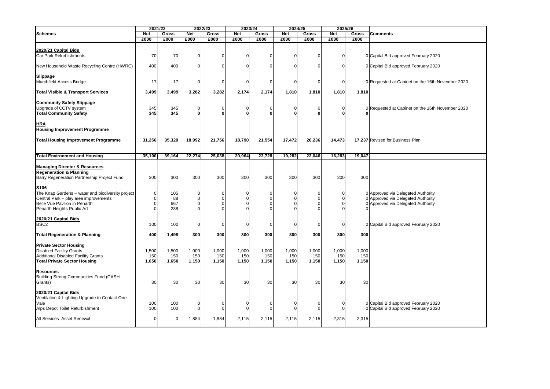|                                                            | 2021/22     |                | 2022/23     |              | 2023/24                    |            | 2024/25        |              | 2025/26             |        |                                                  |  |  |
|------------------------------------------------------------|-------------|----------------|-------------|--------------|----------------------------|------------|----------------|--------------|---------------------|--------|--------------------------------------------------|--|--|
| <b>Schemes</b>                                             | <b>Net</b>  | Gross          | Net         | <b>Gross</b> | <b>Net</b><br><b>Gross</b> |            | <b>Net</b>     | <b>Gross</b> | <b>Net</b><br>Gross |        | <b>Comments</b>                                  |  |  |
|                                                            | £000        | £000           | £000        | £000         | £000                       | £000       | £000           | £000         | £000                | £000   |                                                  |  |  |
|                                                            |             |                |             |              |                            |            |                |              |                     |        |                                                  |  |  |
| 2020/21 Capital Bids                                       |             |                |             |              |                            |            |                |              |                     |        |                                                  |  |  |
| Car Park Refurbishments                                    | 70          | 70             | 0           |              | $\mathbf 0$                | n          | $\Omega$       | $\Omega$     | $\mathbf 0$         |        | 0 Capital Bid approved February 2020             |  |  |
|                                                            |             |                |             |              |                            |            |                |              |                     |        |                                                  |  |  |
| New Household Waste Recycling Centre (HWRC)                | 400         | 400            | 0           |              | $\Omega$                   | $\Omega$   | $\Omega$       | $\Omega$     | $\mathbf 0$         |        | 0 Capital Bid approved February 2020             |  |  |
|                                                            |             |                |             |              |                            |            |                |              |                     |        |                                                  |  |  |
| Slippage                                                   |             |                |             |              |                            |            |                |              |                     |        |                                                  |  |  |
| Murchfield Access Bridge                                   | 17          | 17             | $\mathbf 0$ |              | $\mathbf 0$                | $\Omega$   | $\overline{0}$ | $\Omega$     | $\mathbf 0$         |        | 0 Requested at Cabinet on the 16th November 2020 |  |  |
|                                                            |             |                |             |              |                            |            |                |              |                     |        |                                                  |  |  |
| <b>Total Visible &amp; Transport Services</b>              | 3,499       | 3,499          | 3,282       | 3,282        | 2,174                      | 2,174      | 1,810          | 1,810        | 1,810               | 1,810  |                                                  |  |  |
|                                                            |             |                |             |              |                            |            |                |              |                     |        |                                                  |  |  |
|                                                            |             |                |             |              |                            |            |                |              |                     |        |                                                  |  |  |
| <b>Community Safety Slippage</b><br>Upgrade of CCTV system | 345         | 345            | 0           |              | 0                          | $\Omega$   | $\mathbf 0$    | $\Omega$     | $\mathbf 0$         |        | 0 Requested at Cabinet on the 16th November 2020 |  |  |
| <b>Total Community Safety</b>                              | 345         | 345            | $\Omega$    |              | $\bf{0}$                   | n          | U              | ω            | 0                   |        |                                                  |  |  |
|                                                            |             |                |             |              |                            |            |                |              |                     |        |                                                  |  |  |
| <u>HRA</u>                                                 |             |                |             |              |                            |            |                |              |                     |        |                                                  |  |  |
| <b>Housing Improvement Programme</b>                       |             |                |             |              |                            |            |                |              |                     |        |                                                  |  |  |
|                                                            |             |                |             |              |                            |            |                |              |                     |        |                                                  |  |  |
| <b>Total Housing Improvement Programme</b>                 | 31,256      | 35,320         | 18,992      | 21,756       | 18,790                     | 21,554     | 17,472         | 20,236       | 14,473              |        | 17,237 Revised for Business Plan                 |  |  |
|                                                            |             |                |             |              |                            |            |                |              |                     |        |                                                  |  |  |
|                                                            |             |                |             |              |                            |            |                |              |                     |        |                                                  |  |  |
| <b>Total Environment and Housing</b>                       | 35,100      | 39,164         | 22,274      | 25,038       | 20,964                     | 23,728     | 19,282         | 22,046       | 16,283              | 19,047 |                                                  |  |  |
|                                                            |             |                |             |              |                            |            |                |              |                     |        |                                                  |  |  |
| <b>Managing Director &amp; Resources</b>                   |             |                |             |              |                            |            |                |              |                     |        |                                                  |  |  |
| <b>Regeneration &amp; Planning</b>                         |             |                |             |              |                            |            |                |              |                     |        |                                                  |  |  |
| Barry Regeneration Partnership Project Fund                | 300         | 300            | 300         | 300          | 300                        | 300        | 300            | 300          | 300                 | 300    |                                                  |  |  |
|                                                            |             |                |             |              |                            |            |                |              |                     |        |                                                  |  |  |
| S106                                                       |             |                |             |              |                            |            |                |              |                     |        |                                                  |  |  |
| The Knap Gardens - water and biodiversity project          | $\mathbf 0$ | 105            | 0           |              | 0                          | $\Omega$   | $\Omega$       | $\Omega$     | 0                   |        | 0 Approved via Delegated Authority               |  |  |
| Central Park - play area improvements                      | $\mathbf 0$ | 88             | $\Omega$    |              | $\Omega$                   | $\sqrt{ }$ | $\Omega$       | $\Omega$     | $\mathbf 0$         |        | 0 Approved via Delegated Authority               |  |  |
| Belle Vue Pavilion in Penarth                              | $\mathbf 0$ | 667            | O           |              | $\Omega$                   | C          | $\Omega$       | $\Omega$     | $\mathbf 0$         |        | 0 Approved via Delegated Authority               |  |  |
| Penarth Heights Public Art                                 | $\Omega$    | 238            | $\Omega$    |              | $\Omega$                   |            | $\Omega$       | O            | $\mathbf 0$         |        |                                                  |  |  |
|                                                            |             |                |             |              |                            |            |                |              |                     |        |                                                  |  |  |
| 2020/21 Capital Bids                                       |             |                |             |              |                            |            |                |              |                     |        |                                                  |  |  |
| BSC <sub>2</sub>                                           | 100         | 100            | $\mathbf 0$ |              | $\mathbf 0$                | $\Omega$   | $\Omega$       | $\Omega$     | $\mathbf 0$         |        | 0 Capital Bid approved February 2020             |  |  |
|                                                            |             |                |             |              |                            |            |                |              |                     |        |                                                  |  |  |
| <b>Total Regeneration &amp; Planning</b>                   | 400         | 1,498          | 300         | 300          | 300                        | 300        | 300            | 300          | 300                 | 300    |                                                  |  |  |
|                                                            |             |                |             |              |                            |            |                |              |                     |        |                                                  |  |  |
| <b>Private Sector Housing</b>                              |             |                |             |              |                            |            |                |              |                     |        |                                                  |  |  |
| <b>Disabled Facility Grants</b>                            | 1,500       | 1,500          | 1,000       | 1,000        | 1,000                      | 1,000      | 1,000          | 1,000        | 1,000               | 1,000  |                                                  |  |  |
| <b>Additional Disabled Facility Grants</b>                 | 150         | 150            | 150         | 150          | 150                        | 150        | 150            | 150          | 150                 | 150    |                                                  |  |  |
| <b>Total Private Sector Housing</b>                        | 1,650       | 1,650          | 1,150       | 1,150        | 1,150                      | 1,150      | 1,150          | 1,150        | 1,150               | 1,150  |                                                  |  |  |
|                                                            |             |                |             |              |                            |            |                |              |                     |        |                                                  |  |  |
| <b>Resources</b>                                           |             |                |             |              |                            |            |                |              |                     |        |                                                  |  |  |
| Building Strong Communities Fund (CASH                     |             |                |             |              |                            |            |                |              |                     |        |                                                  |  |  |
| Grants)                                                    | 30          | 30             | 30          | 30           | 30                         | 30         | 30             | 30           | 30                  | 30     |                                                  |  |  |
|                                                            |             |                |             |              |                            |            |                |              |                     |        |                                                  |  |  |
| 2020/21 Capital Bids                                       |             |                |             |              |                            |            |                |              |                     |        |                                                  |  |  |
| Ventilation & Lighting Upgrade to Contact One              |             |                |             |              |                            |            |                |              |                     |        |                                                  |  |  |
| Vale                                                       | 100         | 100            | 0           |              | $\Omega$                   | C          | $\Omega$       | C            | 0                   |        | 0 Capital Bid approved February 2020             |  |  |
|                                                            | 100         | 100            | $\Omega$    |              | $\Omega$                   | $\sqrt{ }$ | $\Omega$       | $\sqrt{ }$   | $\mathbf 0$         |        | 0 Capital Bid approved February 2020             |  |  |
| Alps Depot Toilet Refurbishment                            |             |                |             |              |                            |            |                |              |                     |        |                                                  |  |  |
| All Services Asset Renewal                                 | $\mathbf 0$ | $\overline{0}$ | 1,884       | 1,884        | 2,115                      | 2,115      | 2,115          | 2,115        | 2,315               | 2,315  |                                                  |  |  |
|                                                            |             |                |             |              |                            |            |                |              |                     |        |                                                  |  |  |
|                                                            |             |                |             |              |                            |            |                |              |                     |        |                                                  |  |  |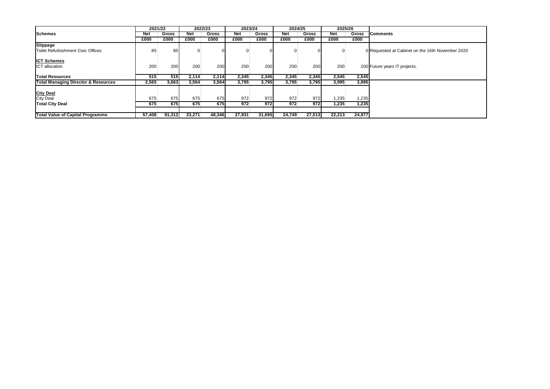|                                                | 2021/22    |        | 2022/23      |        | 2023/24 |              | 2024/25    |              | 2025/26    |        |                                                  |  |  |  |
|------------------------------------------------|------------|--------|--------------|--------|---------|--------------|------------|--------------|------------|--------|--------------------------------------------------|--|--|--|
| <b>Schemes</b>                                 | <b>Net</b> | Gross  | <b>Net</b>   | Gross  | Net     | <b>Gross</b> | <b>Net</b> | <b>Gross</b> | <b>Net</b> | Gross  | <b>Comments</b>                                  |  |  |  |
|                                                | £000       | £000   | £000         | £000   | £000    | £000         | £000       | £000         | £000       | £000   |                                                  |  |  |  |
| Slippage                                       |            |        |              |        |         |              |            |              |            |        |                                                  |  |  |  |
| Toilet Refurbishment Civic Offices             | 85         | 85     | <sup>0</sup> |        |         |              |            |              |            |        | 0 Requested at Cabinet on the 16th November 2020 |  |  |  |
|                                                |            |        |              |        |         |              |            |              |            |        |                                                  |  |  |  |
| <b>ICT Schemes</b>                             |            |        |              |        |         |              |            |              |            |        |                                                  |  |  |  |
| <b>ICT</b> allocation                          | 200        | 200    | 200          | 200    | 200     | 200          | 200        | 200          | 200        |        | 200 Future years IT projects.                    |  |  |  |
|                                                |            |        |              |        |         |              |            |              |            |        |                                                  |  |  |  |
| <b>Total Resources</b>                         | 515        | 515    | 2,114        | 2,114  | 2,345   | 2,345        | 2,345      | 2,345        | 2,545      | 2,545  |                                                  |  |  |  |
| <b>Total Managing Director &amp; Resources</b> | 2,565      | 3,663  | 3,564        | 3,564  | 3,795   | 3,795        | 3,795      | 3,795        | 3,995      | 3,995  |                                                  |  |  |  |
|                                                |            |        |              |        |         |              |            |              |            |        |                                                  |  |  |  |
| <b>City Deal</b>                               |            |        |              |        |         |              |            |              |            |        |                                                  |  |  |  |
| <b>City Deal</b>                               | 675        | 675    | 675          | 675    | 972     | 972          | 972        | 972          | 1,235      | 1,235  |                                                  |  |  |  |
| <b>Total City Deal</b>                         | 675        | 675    | 675          | 675    | 972     | 972          | 972        | 972          | 1,235      | 1,235  |                                                  |  |  |  |
|                                                |            |        |              |        |         |              |            |              |            |        |                                                  |  |  |  |
| <b>Total Value of Capital Programme</b>        | 57,408     | 91,312 | 33,271       | 48,346 | 27,931  | 31,695       | 24,749     | 27,513       | 22,213     | 24,977 |                                                  |  |  |  |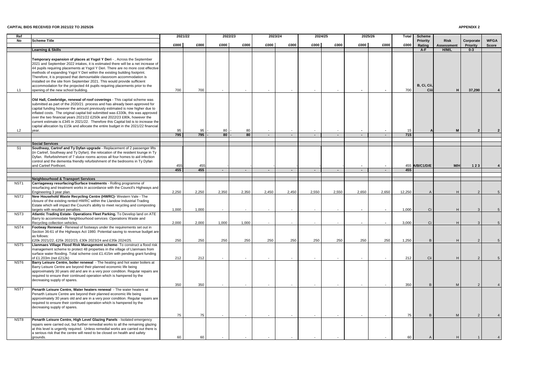#### **CAPITAL BIDS RECEIVED FOR 2021/22 TO 2025/26**

#### **APPENDIX 2**

| Ref                                  |                                                                                                                                                                                                                                                                                                                                                                                                                                                                                                                                                                                                       | 2021/22    |            | 2022/23 |        | 2023/24                  |        | 2024/25                  |                          | 2025/26 |                | Total            | <b>Scheme</b>       |                                  |                              |                             |
|--------------------------------------|-------------------------------------------------------------------------------------------------------------------------------------------------------------------------------------------------------------------------------------------------------------------------------------------------------------------------------------------------------------------------------------------------------------------------------------------------------------------------------------------------------------------------------------------------------------------------------------------------------|------------|------------|---------|--------|--------------------------|--------|--------------------------|--------------------------|---------|----------------|------------------|---------------------|----------------------------------|------------------------------|-----------------------------|
| No                                   | <b>Scheme Title</b>                                                                                                                                                                                                                                                                                                                                                                                                                                                                                                                                                                                   | £000       | £000       | £000    | £000   | £000                     | £000   | £000                     | £000                     | £000    | £000           | £000             | Priority<br>Rating  | <b>Risk</b><br><b>Assessment</b> | Corporate<br><b>Priority</b> | <b>WFGA</b><br><b>Score</b> |
|                                      | <b>Learning &amp; Skills</b>                                                                                                                                                                                                                                                                                                                                                                                                                                                                                                                                                                          |            |            |         |        |                          |        |                          |                          |         |                |                  | $A-F$               | H/M/L                            | $0 - 3$                      |                             |
| L1                                   | Temporary expansion of places at Ysgol Y Deri -, Across the September<br>2021 and September 2022 intakes, it is estimated there will be a net increase of<br>44 pupils requiring placements at Ysgol Y Deri. There are no more cost effective<br>methods of expanding Ysgol Y Deri within the existing building footprint.<br>Therefore, it is proposed that demountable classroom accommodation is<br>installed on the site from September 2021. This would provide sufficient<br>accommodation for the projected 44 pupils requiring placements prior to the<br>opening of the new school building. | 700        | 700        |         |        |                          |        |                          |                          |         |                | 700              | B, Ci, Cii,<br>Ciii |                                  | 37,290                       |                             |
| L2                                   | Old Hall, Cowbridge, renewal of roof coverings - This capital scheme was<br>submitted as part of the 2020/21 process and has already been approved for<br>capital funding however the amount previously estimated is now higher due to<br>inflated costs. The original capital bid submitted was £330k, this was approved<br>over the two financial years 2021/22 £250k and 2022/23 £80k, however the<br>current estimate is £345 in 2021/22. Therefore this Capital bid is to increase the<br>capital allocation by £15k and allocate the entire budget in the 2021/22 financial<br>year.            | 95         | 95         | 80      | 80     |                          |        | $\overline{\phantom{a}}$ |                          |         |                | 15               |                     | <b>N</b>                         |                              |                             |
|                                      |                                                                                                                                                                                                                                                                                                                                                                                                                                                                                                                                                                                                       | 795        | 795        | 80      | 80     | $\sim$                   | $\sim$ | $\sim$                   | $\sim$                   | $\sim$  |                | $\overline{715}$ |                     |                                  |                              |                             |
|                                      | <b>Social Services</b>                                                                                                                                                                                                                                                                                                                                                                                                                                                                                                                                                                                |            |            |         |        |                          |        |                          |                          |         |                |                  |                     |                                  |                              |                             |
| S <sub>1</sub>                       | Southway, Cartref and Ty Dyfan upgrade - Replacement of 2 passenger lifts<br>(in Cartref, Southway and Ty Dyfan). the relocation of the resident lounge in Ty<br>Dyfan. Refurbishment of 7 sluice rooms across all four homes to aid infection<br>control and the dementia friendly refurbishment of the bedrooms in Ty Dyfan<br>and Cartref Porthceri.                                                                                                                                                                                                                                               | 455<br>455 | 455<br>455 | $\sim$  | $\sim$ | $\sim$                   | $\sim$ | $\sim$ $-$               | $\sim$                   | $\sim$  | $\blacksquare$ | 455              | 455 A/B/C1/D/E      | M/H                              | 123                          |                             |
|                                      | <b>Neighbourhood &amp; Transport Services</b>                                                                                                                                                                                                                                                                                                                                                                                                                                                                                                                                                         |            |            |         |        |                          |        |                          |                          |         |                |                  |                     |                                  |                              |                             |
| NST <sub>1</sub><br>NST <sub>2</sub> | Carriageway resurfacing/Surface treatments - Rolling programme of<br>resurfacing and treatment works in accordance with the Council's Highways and<br>Engineering 3 year plan.<br>New Household Waste Recycling Centre (HWRC)- Western Vale - The<br>closure of the existing rented HWRC within the Llandow Industrial Trading                                                                                                                                                                                                                                                                        | 2,250      | 2,250      | 2,350   | 2,350  | 2,450                    | 2,450  | 2,550                    | 2,550                    | 2,650   | 2,650          | 12,250           |                     |                                  |                              |                             |
|                                      | Estate which will impact the Council's ability to meet recycling and composting<br>largets with resultant penalties.                                                                                                                                                                                                                                                                                                                                                                                                                                                                                  | 1,000      | 1,000      |         | $\sim$ | $\overline{\phantom{a}}$ |        | $\overline{\phantom{a}}$ | $\overline{\phantom{0}}$ | $\sim$  |                | 1,000            | Ci                  |                                  |                              |                             |
| NST3                                 | Atlantic Trading Estate- Operations Fleet Parking. To Develop land on ATE<br>Barry to accommodate Neighbourhood services : Operations Waste and<br>Recycling collection vehicles.                                                                                                                                                                                                                                                                                                                                                                                                                     | 2,000      | 2,000      | 1,000   | 1,000  |                          |        |                          |                          |         |                | 3,000            | Ci                  |                                  |                              |                             |
| NST4                                 | Footway Renewal - Renewal of footways under the requirements set out in<br>Section 36-61 of the Highways Act 1980. Potential saving to revenue budget are<br>as follows:                                                                                                                                                                                                                                                                                                                                                                                                                              |            |            |         |        |                          |        |                          |                          |         |                |                  |                     |                                  |                              |                             |
| NST <sub>5</sub>                     | £20k 2021/22, £25k 2022/23, £30k 2023/24 and £35k 2024/25.<br>Llanmaes Village Flood Risk Management scheme- To construct a flood risk<br>management scheme to protect 48 properties in the village of Llanmaes from<br>surface water flooding. Total scheme cost £1.415m with pending grant funding                                                                                                                                                                                                                                                                                                  | 250        | 250        | 250     | 250    | 250                      | 250    | 250                      | 250                      | 250     | 250            | 1,250            |                     |                                  |                              |                             |
| NST6                                 | of £1.203m (net £212k)<br>Barry Leisure Centre, boiler renewal - The heating and hot water boilers at<br>Barry Leisure Centre are beyond their planned economic life being<br>approximately 30 years old and are in a very poor condition. Regular repairs are<br>required to ensure their continued operation which is hampered by the<br>decreasing supply of spares.                                                                                                                                                                                                                               | 212<br>350 | 212<br>350 |         | $\sim$ | $\sim$                   |        | $\overline{\phantom{a}}$ |                          |         |                | 212<br>350       | Cii<br>B            | M                                |                              |                             |
| NST7                                 | Penarth Leisure Centre, Water heaters renewal - The water heaters at<br>Penarth Leisure Centre are beyond their planned economic life being<br>approximately 30 years old and are in a very poor condition. Regular repairs are<br>required to ensure their continued operation which is hampered by the<br>decreasing supply of spares.                                                                                                                                                                                                                                                              |            |            |         |        |                          |        |                          |                          |         |                |                  |                     |                                  |                              |                             |
| NST <sub>8</sub>                     | Penarth Leisure Centre, High Level Glazing Panels - Isolated emergency<br>repairs were carried out, but further remedial works to all the remaining glazing<br>at this level is urgently required. Unless remedial works are carried out there is                                                                                                                                                                                                                                                                                                                                                     | 75         | 75         |         |        |                          |        |                          |                          |         |                | 75               | B <sub>1</sub>      | M                                |                              |                             |
|                                      | a serious risk that the centre will need to be closed on health and safety<br>grounds.                                                                                                                                                                                                                                                                                                                                                                                                                                                                                                                | 60         | 60         |         |        |                          |        |                          |                          |         |                | 60               |                     |                                  |                              |                             |